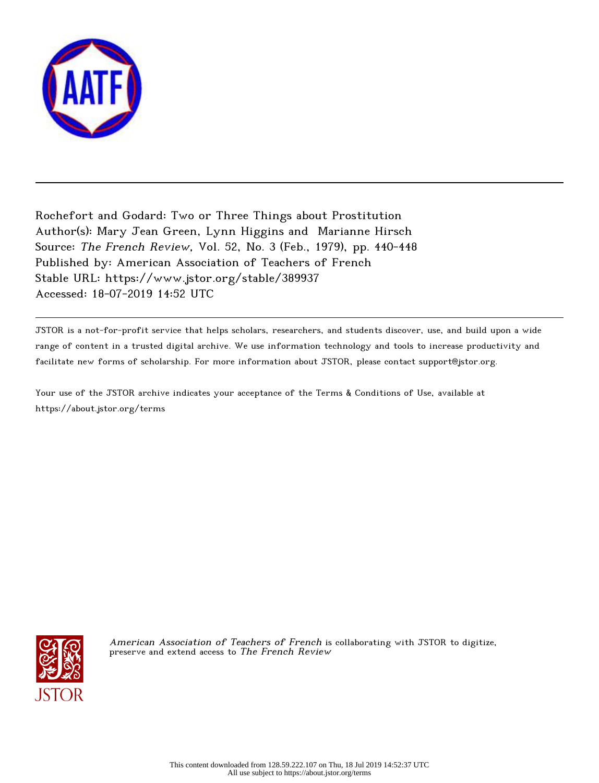

Rochefort and Godard: Two or Three Things about Prostitution Author(s): Mary Jean Green, Lynn Higgins and Marianne Hirsch Source: The French Review, Vol. 52, No. 3 (Feb., 1979), pp. 440-448 Published by: American Association of Teachers of French Stable URL: https://www.jstor.org/stable/389937 Accessed: 18-07-2019 14:52 UTC

JSTOR is a not-for-profit service that helps scholars, researchers, and students discover, use, and build upon a wide range of content in a trusted digital archive. We use information technology and tools to increase productivity and facilitate new forms of scholarship. For more information about JSTOR, please contact support@jstor.org.

Your use of the JSTOR archive indicates your acceptance of the Terms & Conditions of Use, available at https://about.jstor.org/terms



American Association of Teachers of French is collaborating with JSTOR to digitize, preserve and extend access to The French Review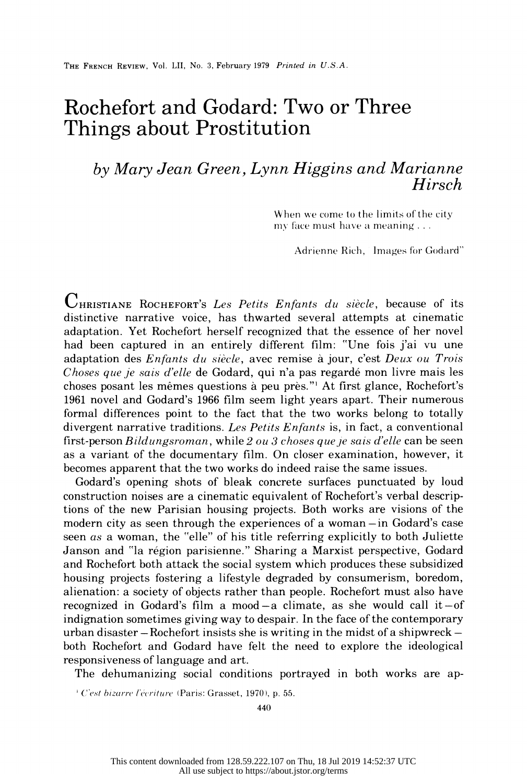# Rochefort and Godard: Two or Three Things about Prostitution

## by Mary Jean Green, Lynn Higgins and Marianne Hirsch

When we come to the limits of the city my face must have a meaning  $\dots$ 

Adrienne Rich, Images for Godard"

 $\mathbf{C}_{\texttt{HRISTIANE}}$  Rochefort's Les Petits Enfants du siècle, because of its distinctive narrative voice, has thwarted several attempts at cinematic adaptation. Yet Rochefort herself recognized that the essence of her novel had been captured in an entirely different film: "Une fois j'ai vu une adaptation des Enfants du siècle, avec remise à jour, c'est Deux ou Trois Choses que je sais d'elle de Godard, qui n'a pas regardé mon livre mais les choses posant les mêmes questions à peu près."<sup>1</sup> At first glance, Rochefort's 1961 novel and Godard's 1966 Ellm seem light years apart. Their numerous formal differences point to the fact that the two works belong to totally divergent narrative traditions. Les Petits Enfants is, in fact, a conventional first-person  $Bildungsroman$ , while  $2\omega$  3 choses que je sais d'elle can be seen as a variant of the documentary film. On closer examination, however, it becomes apparent that the two works do indeed raise the same issues.

 Godard's opening shots of bleak concrete surfaces punctuated by loud construction noises are a cinematic equivalent of Rochefort's verbal descrip tions of the new Parisian housing projects. Both works are visions of the modern city as seen through the experiences of a woman-in Godard's case seen as a woman, the "elle" of his title referring explicitly to both Juliette Janson and "la region parisienne." Sharing a Marxist perspective, Godard and Rochefort both attack the social system which produces these subsidized housing projects fostering a lifestyle degraded by consumerism, boredom, alienation: a society of objects rather than people. Rochefort must also have recognized in Godard's film a mood-a climate, as she would call it-of indignation sometimes giving way to despair. In the face of the contemporary urban disaster  $-Rochefort$  insists she is writing in the midst of a shipwreck  $$  both Rochefort and Godard have felt the need to explore the ideological responsiveness of language and art.

The dehumanizing social conditions portrayed in both works are ap-

 $l$ ' C'est bizarre l'écriture (Paris: Grasset, 1970), p. 55.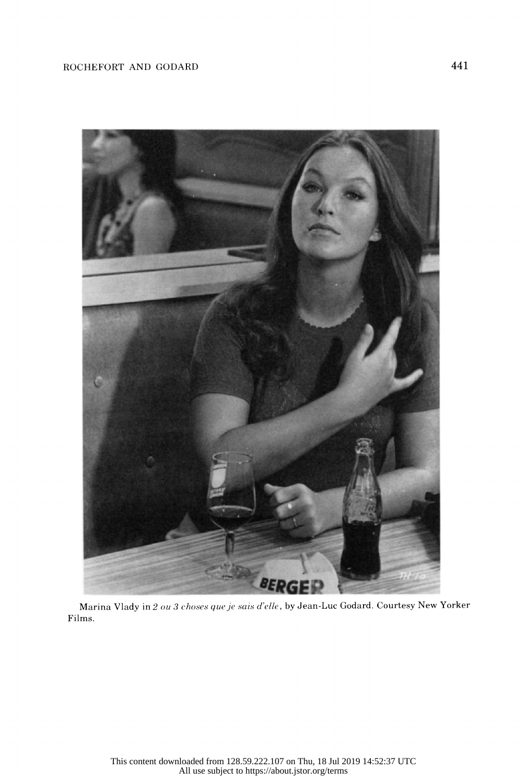

 Marina Vlady in 2 ou 3 choses que je sais d'elle, by Jean-Luc Godard. Courtesy New Yorker Films.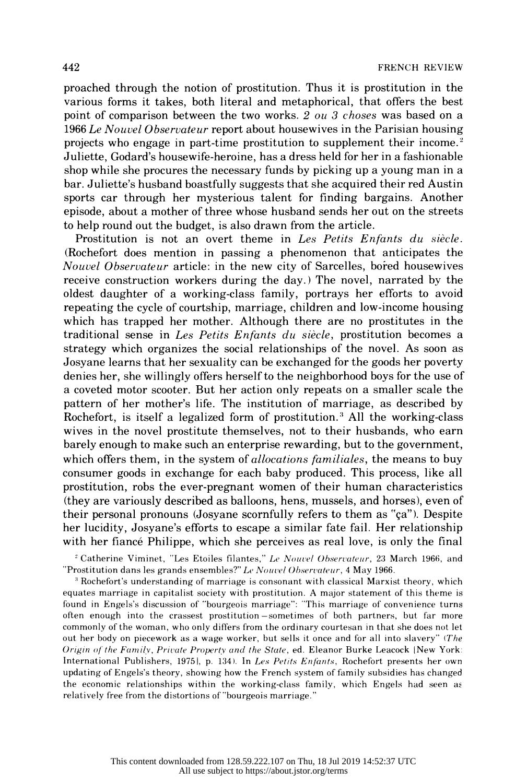proached through the notion of prostitution. Thus it is prostitution in the various forms it takes, both literal and metaphorical, that offers the best point of comparison between the two works. 2 ou 3 choses was based on a 1966 Le Nouvel Observateur report about housewives in the Parisian housing projects who engage in part-time prostitution to supplement their income.<sup>2</sup> Juliette, Godard's housewife-heroine, has a dress held for her in a fashionable shop while she procures the necessary funds by picking up a young man in a bar. Juliette's husband boastfully suggests that she acquired their red Austin sports car through her mysterious talent for finding bargains. Another episode, about a mother of three whose husband sends her out on the streets to help round out the budget, is also drawn from the article.

Prostitution is not an overt theme in Les Petits Enfants du siècle. (Rochefort does mention in passing a phenomenon that anticipates the Nouvel Observateur article: in the new city of Sarcelles, bored housewives receive construction workers during the day.) The novel, narrated by the oldest daughter of a working-class family, portrays her efforts to avoid repeating the cycle of courtship, marriage, children and low-income housing which has trapped her mother. Although there are no prostitutes in the traditional sense in Les Petits Enfants du siècle, prostitution becomes a strategy which organizes the social relationships of the novel. As soon as Josyane learns that her sexuality can be exchanged for the goods her poverty denies her, she willingly offers herself to the neighborhood boys for the use of a coveted motor scooter. But her action only repeats on a smaller scale the pattern of her mother's life. The institution of marriage, as described by Rochefort, is itself a legalized form of prostitution.<sup>3</sup> All the working-class wives in the novel prostitute themselves, not to their husbands, who earn barely enough to make such an enterprise rewarding, but to the government, which offers them, in the system of *allocations familiales*, the means to buy consumer goods in exchange for each baby produced. This process, like all prostitution, robs the ever-pregnant women of their human characteristics (they are variously described as balloons, hens, mussels, and horses), even of their personal pronouns (Josyane scornfully refers to them as "ca"). Despite her lucidity, Josyane's efforts to escape a similar fate fail. Her relationship with her fiance Philippe, which she perceives as real love, is only the final

<sup>2</sup> Catherine Viminet, "Les Etoiles filantes," Le Nouvel Observateur, 23 March 1966, and "Prostitution dans les grands ensembles?" Le Nouvel Observateur, 4 May 1966.

<sup>3</sup> Rochefort's understanding of marriage is consonant with classical Marxist theory, which equates marriage in capitalist society with prostitution. A major statement of this theme is found in Engels's discussion of "bourgeois marriage": 'This marriage of convenience turns often enough into the crassest prostitution-sometimes of both partners, but far more commonly of the woman, who only differs from the ordinary courtesan in that she does not let out her body on piecework as a wage worker, but sells it once and for all into slavery" (The Origin of the Family, Private Property and the State, ed. Eleanor Burke Leacock |New York: International Publishers, 1975), p. 134). In Les Petits Enfants, Rochefort presents her own updating of Engels's theory, showing how the French system of family subsidies has changed the economic relationships within the working-class family, which Engels had seen ac relatively free from the distortions of "bourgeois marriage."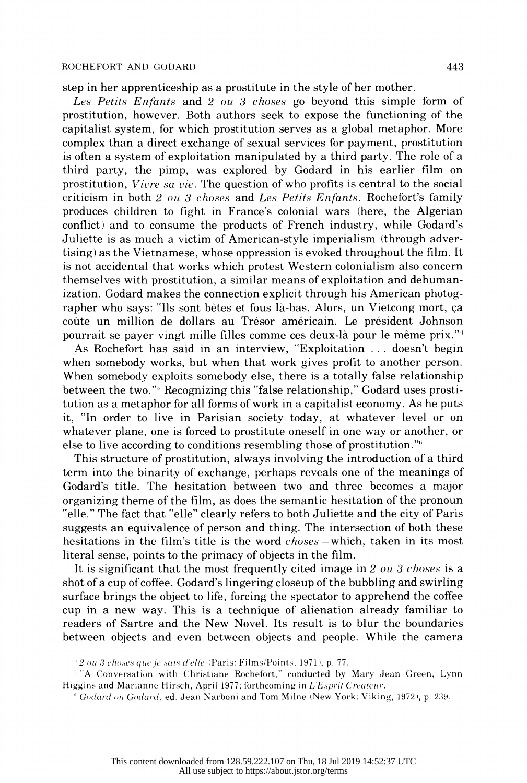#### ROCHEFORT AND GODARD 443

step in her apprenticeship as a prostitute in the style of her mother.

Les Petits Enfants and 2 ou 3 choses go beyond this simple form of prostitution, however. Both authors seek to expose the functioning of the capitalist system, for which prostitution serves as a global metaphor. More complex than a direct exchange of sexual services for payment, prostitution is often a system of exploitation manipulated by a third party. The role of a third party, the pimp, was explored by Godard in his earlier film on prostitution, Vivre sa vie. The question of who profits is central to the social criticism in both 2 ou 3 choses and Les Petits Enfants. Rochefort's family produces children to fight in France's colonial wars (here, the Algerian conflict) and to consume the products of French industry, while Godard's Juliette is as much a victim of American-style imperialism (through adver tising) as the Vietnamese, whose oppression is evoked throughout the film. It is not accidental that works which protest Western colonialism also concern themselves with prostitution, a similar means of exploitation and dehuman ization. Godard makes the connection explicit through his American photog rapher who says: "Ils sont betes et fous la-bas. Alors, un Vietcong mort, ca coute un million de dollars au Tresor americain. Le president Johnson pourrait se payer vingt mille filles comme ces deux-la pour le meme prix."4

 As Rochefort has said in an interview, "Exploitation ... doesn't begin when somebody works, but when that work gives profit to another person. When somebody exploits somebody else, there is a totally false relationship between the two."<sup>5</sup> Recognizing this "false relationship," Godard uses prosti tution as a metaphor for all forms of work in a capitalist economy. As he puts it, "In order to live in Parisian society today, at whatever level or on whatever plane, one is forced to prostitute oneself in one way or another, or else to live according to conditions resembling those of prostitution."'i

 This structure of prostitution, always involving the introduction of a third term into the binarity of exchange, perhaps reveals one of the meanings of Godard's title. The hesitation between two and three becomes a major organizing theme of the film, as does the semantic hesitation of the pronoun "elle." The fact that "elle" clearly refers to both Juliette and the city of Paris suggests an equivalence of person and thing. The intersection of both these hesitations in the film's title is the word *choses* – which, taken in its most literal sense, points to the primacy of objects in the film.

It is significant that the most frequently cited image in 2 ou 3 choses is a shot of a cup of coffee. Godard's lingering closeup of the bubbling and swirling surface brings the object to life, forcing the spectator to apprehend the coffee cup in a new way. This is a technique of alienation already familiar to readers of Sartre and the New Novel. Its result is to blur the boundaries between objects and even between objects and people. While the camera

 $2$  ou 3 choses que je sais d'elle (Paris: Films/Points, 1971), p. 77.

<sup>&</sup>lt;sup>5</sup> "A Conversation with Christiane Rochefort," conducted by Mary Jean Green, Lynn Higgins and Marianne Hirsch, April 1977; forthcoming in  $LE$ sprit Créateur.

 $h$  Godard on Godard, ed. Jean Narboni and Tom Milne (New York: Viking, 1972), p. 239.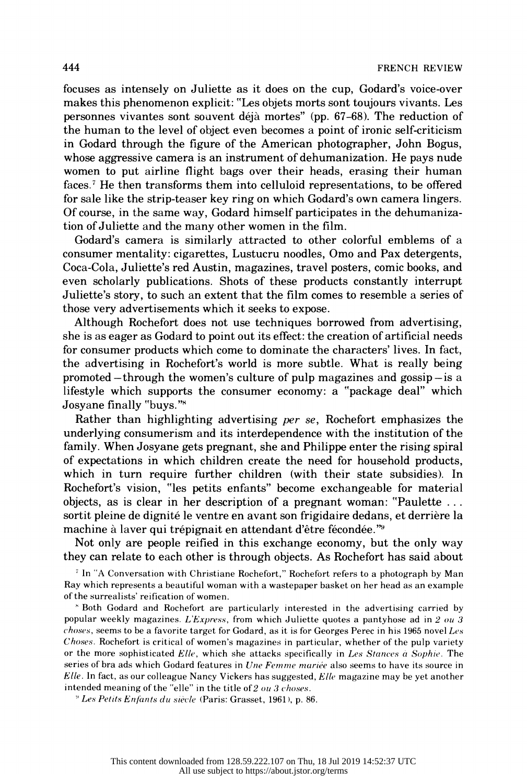focuses as intensely on Juliette as it does on the cup, Godard's voice-over makes this phenomenon explicit: "Les objets morts sont toujours vivants. Les personnes vivantes sont souvent deja mortes" (pp. 67-68). The reduction of the human to the level of object even becomes a point of ironic self-criticism in Godard through the figure of the American photographer, John Bogus, whose aggressive camera is an instrument of dehumanization. He pays nude women to put airline flight bags over their heads, erasing their human faces.<sup>7</sup> He then transforms them into celluloid representations, to be offered for sale like the strip-teaser key ring on which Godard's own camera lingers. Of course, in the same way, Godard himself participates in the dehumaniza tion of Juliette and the many other women in the film.

 Godard's camera is similarly attracted to other colorful emblems of a consumer mentality: cigarettes, Lustucru noodles, Omo and Pax detergents, Coca-Cola, Juliette's red Austin, magazines, travel posters, comic books, and even scholarly publications. Shots of these products constantly interrupt Juliette's story, to such an extent that the film comes to resemble a series of those very advertisements which it seeks to expose.

 Although Rochefort does not use techniques borrowed from advertising, she is as eager as Godard to point out its effect: the creation of artificial needs for consumer products which come to dominate the characters' lives. In fact, the advertising in Rochefort's world is more subtle. What is really being promoted  $-$ through the women's culture of pulp magazines and gossip $-$ is a lifestyle which supports the consumer economy: a "package deal" which Josyane finally "buys."8

 Rather than highlighting advertising per se, Rochefort emphasizes the underlying consumerism and its interdependence with the institution of the family. When Josyane gets pregnant, she and Philippe enter the rising spiral of expectations in which children create the need for household products, which in turn require further children (with their state subsidies). In Rochefort's vision, "les petits enfants" become exchangeable for material objects, as is clear in her description of a pregnant woman: "Paulette . . . sortit pleine de dignité le ventre en avant son frigidaire dedans, et derrière la machine à laver qui trépignait en attendant d'être fécondée."<sup>9</sup>

 Not only are people reified in this exchange economy, but the only way they can relate to each other is through objects. As Rochefort has said about

<sup>7</sup> In "A Conversation with Christiane Rochefort," Rochefort refers to a photograph by Man Ray which represents a beautiful woman with a wastepaper basket on her head as an example of the surrealists' reification of women.

 8 Both Godard and Rochefort are particularly interested in the advertising carried by popular weekly magazines. L'Express, from which Juliette quotes a pantyhose ad in  $2 \text{ ou } 3$  $choose$ , seems to be a favorite target for Godard, as it is for Georges Perec in his 1965 novel Les Choses. Rochefort is critical of women's magazines in particular, whether of the pulp variety or the more sophisticated  $Elle$ , which she attacks specifically in Les Stances  $\dot{a}$  Sophie. The series of bra ads which Godard features in *Une Femme mariée* also seems to have its source in  $Elle.$  In fact, as our colleague Nancy Vickers has suggested,  $Elle$  magazine may be yet another intended meaning of the "elle" in the title of  $2\omega u$  3 choses.

<sup>9</sup> Les Petits Enfants du siècle (Paris: Grasset, 1961), p. 86.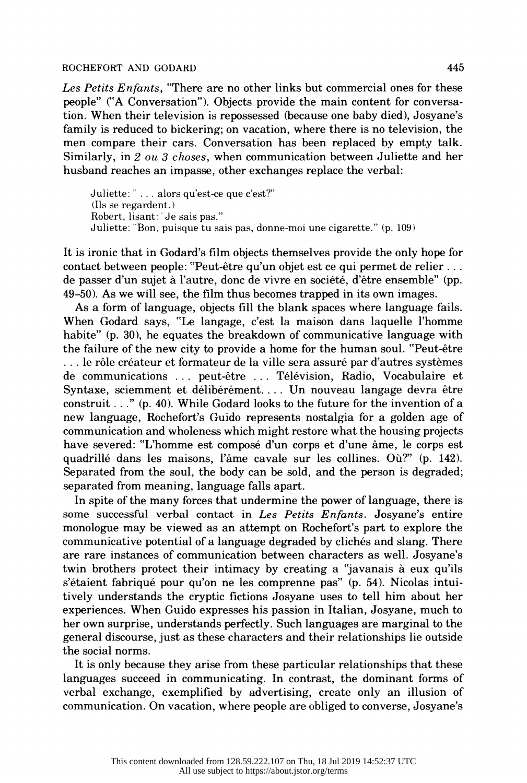#### ROCHEFORT AND GODARD 445

Les Petits Enfants, "There are no other links but commercial ones for these people" ("A Conversation"). Objects provide the main content for conversa tion. When their television is repossessed (because one baby died), Josyane's family is reduced to bickering; on vacation, where there is no television, the men compare their cars. Conversation has been replaced by empty talk. Similarly, in 2 ou 3 choses, when communication between Juliette and her husband reaches an impasse, other exchanges replace the verbal:

Juliette:  $\ldots$  alors qu'est-ce que c'est?" (lls se regardent. ) Robert, lisant: "Je sais pas." Juliette: "Bon, puisque tu sais pas, donne-moi une cigarette." (p. 109)

 It is ironic that in Godard's film objects themselves provide the only hope for contact between people: "Peut-etre qu'un objet est ce qui permet de relier . . . de passer d'un sujet à l'autre, donc de vivre en société, d'être ensemble" (pp. 49-50). As we will see, the film thus becomes trapped in its own images.

 As a form of language, objects fill the blank spaces where language fails. When Godard says, "Le langage, c'est la maison dans laquelle l'homme habite" (p. 30), he equates the breakdown of communicative language with the failure of the new city to provide a home for the human soul. "Peut-être  $\ldots$  le rôle créateur et formateur de la ville sera assuré par d'autres systèmes de communications ... peut-etre ... Television, Radio, Vocabulaire et Syntaxe, sciemment et délibérément.... Un nouveau langage devra être construit . . ." (p. 40). While Godard looks to the future for the invention of a new language, Rochefort's Guido represents nostalgia for a golden age of communication and wholeness which might restore what the housing projects have severed: "L'homme est compose d'un corps et d'une ame, le corps est quadrille dans les maisons, l'ame cavale sur les collines. Ou?" (p. 142). Separated from the soul, the body can be sold, and the person is degraded; separated from meaning, language falls apart.

 In spite of the many forces that undermine the power of language, there is some successful verbal contact in Les Petits Enfants. Josyane's entire monologue may be viewed as an attempt on Rochefort's part to explore the communicative potential of a language degraded by cliches and slang. There are rare instances of communication between characters as well. Josyane's twin brothers protect their intimacy by creating a "javanais à eux qu'ils s'étaient fabriqué pour qu'on ne les comprenne pas" (p. 54). Nicolas intui tively understands the cryptic fictions Josyane uses to tell him about her experiences. When Guido expresses his passion in Italian, Josyane, much to her own surprise, understands perfectly. Such languages are marginal to the general discourse, just as these characters and their relationships lie outside the social norms.

 It is only because they arise from these particular relationships that these languages succeed in communicating. In contrast, the dominant forms of verbal exchange, exemplified by advertising, create only an illusion of communication. On vacation, where people are obliged to converse, Josyane's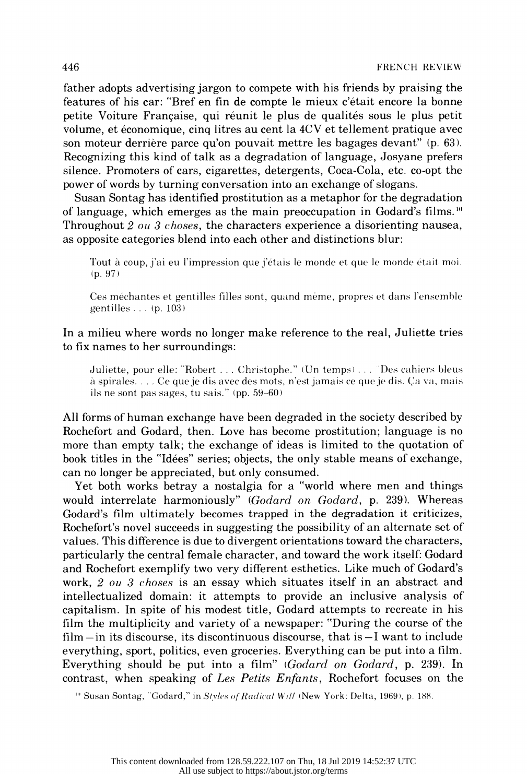father adopts advertising jargon to compete with his friends by praising the features of his car: "Bref en fin de compte le mieux c'etait encore la bonne petite Voiture Française, qui réunit le plus de qualités sous le plus petit volume, et economique, cinq litres au cent la 4CV et tellement pratique avec son moteur derrière parce qu'on pouvait mettre les bagages devant" (p. 63). Recognizing this kind of talk as a degradation of language, Josyane prefers silence. Promoters of cars, cigarettes, detergents, Coca-Cola, etc. co-opt the power of words by turning conversation into an exchange of slogans.

 Susan Sontag has identified prostitution as a metaphor for the degradation of language, which emerges as the main preoccupation in Godard's films.<sup>10</sup> Throughout 2 ou 3 choses, the characters experience a disorienting nausea, as opposite categories blend into each other and distinctions blur:

Tout à coup, j'ai eu l'impression que j'étais le monde et que le monde était moi. (p. 97)

Ces méchantes et gentilles filles sont, quand même, propres et dans l'ensemble gentilles . . . (p. 103 )

### In a milieu where words no longer make reference to the real, Juliette tries to fix names to her surroundings:

Juliette, pour elle: "Robert . . . Christophe." (Un temps) . . . "Des cahiers bleus à spirales.... Ce que je dis avec des mots, n'est jamais ce que je dis. Ça va, mais ils ne sont pas sages, tu sais." (pp. 59-60)

 All forms of human exchange have been degraded in the society described by Rochefort and Godard, then. Love has become prostitution; language is no more than empty talk; the exchange of ideas is limited to the quotation of book titles in the "Idees" series; objects, the only stable means of exchange, can no longer be appreciated, but only consumed.

 Yet both works betray a nostalgia for a "world where men and things would interrelate harmoniously" (Godard on Godard, p. 239). Whereas Godard's film ultimately becomes trapped in the degradation it criticizes, Rochefort's novel succeeds in suggesting the possibility of an alternate set of values. This difference is due to divergent orientations toward the characters, particularly the central female character, and toward the work itself: Godard and Rochefort exemplify two very different esthetics. Like much of Godard's work, 2 ou 3 choses is an essay which situates itself in an abstract and intellectualized domain: it attempts to provide an inclusive analysis of capitalism. In spite of his modest title, Godard attempts to recreate in his film the multiplicity and variety of a newspaper: "During the course of the  $film-in$  its discourse, its discontinuous discourse, that is  $-I$  want to include everything, sport, politics, even groceries. Everything can be put into a film. Everything should be put into a film" ( $Godard$  on  $Godard$ , p. 239). In contrast, when speaking of Les Petits Enfants, Rochefort focuses on the

<sup>10</sup> Susan Sontag, "Godard," in Styles of Radical Will (New York: Delta, 1969), p. 188.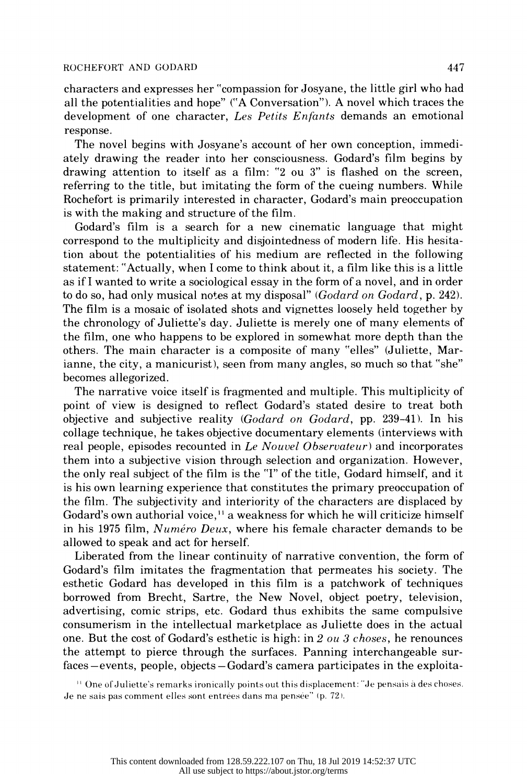#### ROCHEFORT AND GODARD 447

 characters and expresses her "compassion for Josyane, the little girl who had all the potentialities and hope" ("A Conversation"). A novel which traces the development of one character, Les Petits Enfants demands an emotional response.

 The novel begins with Josyane's account of her own conception, immedi ately drawing the reader into her consciousness. Godard's film begins by drawing attention to itself as a film: "2 ou 3" is flashed on the screen, referring to the title, but imitating the form of the cueing numbers. While Rochefort is primarily interested in character, Godard's main preoccupation is with the making and structure of the film.

 Godard's film is a search for a new cinematic language that might correspond to the multiplicity and disjointedness of modern life. His hesita tion about the potentialities of his medium are reflected in the following statement: "Actually, when I come to think about it, a film like this is a little as if I wanted to write a sociological essay in the form of a novel, and in order to do so, had only musical notes at my disposal" (Godard on Godard, p. 242). The film is a mosaic of isolated shots and vignettes loosely held together by the chronology of Juliette's day. Juliette is merely one of many elements of the film, one who happens to be explored in somewhat more depth than the others. The main character is a composite of many "elles" (Juliette, Mar ianne, the city, a manicurist), seen from many angles, so much so that "she" becomes allegorized.

 The narrative voice itself is fragmented and multiple. This multiplicity of point of view is designed to reflect Godard's stated desire to treat both objective and subjective reality (Godard on Godard, pp. 239-41). In his collage technique, he takes objective documentary elements (interviews with real people, episodes recounted in Le Nouvel Observateur) and incorporates them into a subjective vision through selection and organization. However, the only real subject of the film is the "I" of the title, Godard himself, and it is his own learning experience that constitutes the primary preoccupation of the film. The subjectivity and interiority of the characters are displaced by Godard's own authorial voice,<sup>11</sup> a weakness for which he will criticize himself in his 1975 film, Numéro Deux, where his female character demands to be allowed to speak and act for herself.

 Liberated from the linear continuity of narrative convention, the form of Godard's film imitates the fragmentation that permeates his society. The esthetic Godard has developed in this film is a patchwork of techniques borrowed from Brecht, Sartre, the New Novel, object poetry, television, advertising, comic strips, etc. Godard thus exhibits the same compulsive consumerism in the intellectual marketplace as Juliette does in the actual one. But the cost of Godard's esthetic is high: in 2 ou 3 choses, he renounces the attempt to pierce through the surfaces. Panning interchangeable sur faces-events, people, objects-Godard's camera participates in the exploita-

<sup>11</sup> One of Juliette's remarks ironically points out this displacement: "Je pensais à des choses. Je ne sais pas comment elles sont entrées dans ma pensée" (p. 72).